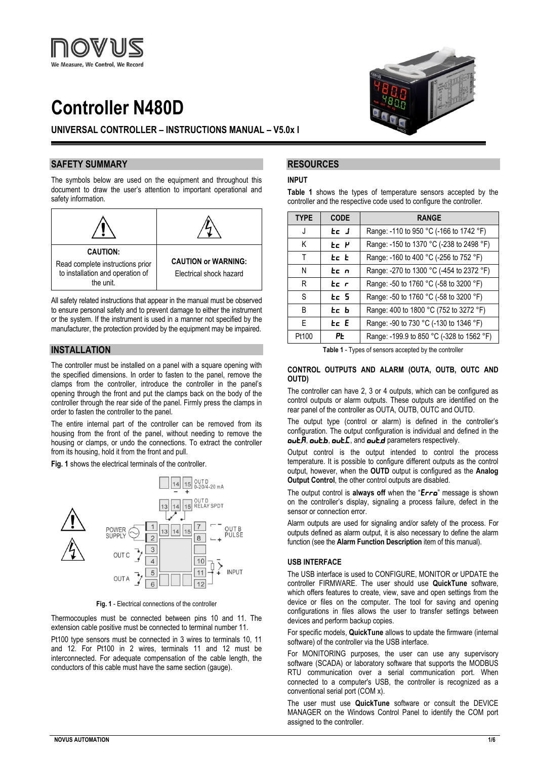

# **Controller N480D**

# **UNIVERSAL CONTROLLER – INSTRUCTIONS MANUAL – V5.0x I**

## **SAFETY SUMMARY**

The symbols below are used on the equipment and throughout this document to draw the user's attention to important operational and safety information.



All safety related instructions that appear in the manual must be observed to ensure personal safety and to prevent damage to either the instrument or the system. If the instrument is used in a manner not specified by the manufacturer, the protection provided by the equipment may be impaired.

# **INSTALLATION**

The controller must be installed on a panel with a square opening with the specified dimensions. In order to fasten to the panel, remove the clamps from the controller, introduce the controller in the panel's opening through the front and put the clamps back on the body of the controller through the rear side of the panel. Firmly press the clamps in order to fasten the controller to the panel.

The entire internal part of the controller can be removed from its housing from the front of the panel, without needing to remove the housing or clamps, or undo the connections. To extract the controller from its housing, hold it from the front and pull.

**Fig. 1** shows the electrical terminals of the controller.



**Fig. 1** - Electrical connections of the controller

Thermocouples must be connected between pins 10 and 11. The extension cable positive must be connected to terminal number 11. Pt100 type sensors must be connected in 3 wires to terminals 10, 11 and 12. For Pt100 in 2 wires, terminals 11 and 12 must be interconnected. For adequate compensation of the cable length, the conductors of this cable must have the same section (gauge).



# **RESOURCES**

#### **INPUT**

**Table 1** shows the types of temperature sensors accepted by the controller and the respective code used to configure the controller.

| <b>TYPE</b> | <b>CODE</b> | <b>RANGE</b>                              |
|-------------|-------------|-------------------------------------------|
| J           | tc J        | Range: -110 to 950 °C (-166 to 1742 °F)   |
| Κ           | ee p        | Range: -150 to 1370 °C (-238 to 2498 °F)  |
| т           | tc t        | Range: -160 to 400 °C (-256 to 752 °F)    |
| N           | tc n        | Range: -270 to 1300 °C (-454 to 2372 °F)  |
| R           | tc r        | Range: -50 to 1760 °C (-58 to 3200 °F)    |
| S           | tc 5        | Range: -50 to 1760 °C (-58 to 3200 °F)    |
| B           | tc b        | Range: 400 to 1800 °C (752 to 3272 °F)    |
| F           | te E        | Range: -90 to 730 °C (-130 to 1346 °F)    |
| Pt100       | ΡĿ          | Range: -199.9 to 850 °C (-328 to 1562 °F) |

**Table 1** - Types of sensors accepted by the controller

#### **CONTROL OUTPUTS AND ALARM (OUTA, OUTB, OUTC AND OUTD)**

The controller can have 2, 3 or 4 outputs, which can be configured as control outputs or alarm outputs. These outputs are identified on the rear panel of the controller as OUTA, OUTB, OUTC and OUTD.

The output type (control or alarm) is defined in the controller's configuration. The output configuration is individual and defined in the  $o\nu E.$   $o\nu E.$   $o\nu E.$  and  $o\nu E.$  parameters respectively.

Output control is the output intended to control the process temperature. It is possible to configure different outputs as the control output, however, when the **OUTD** output is configured as the **Analog Output Control**, the other control outputs are disabled.

The output control is **always off** when the "Erro" message is shown on the controller's display, signaling a process failure, defect in the sensor or connection error.

Alarm outputs are used for signaling and/or safety of the process. For outputs defined as alarm output, it is also necessary to define the alarm function (see the **Alarm Function Description** item of this manual).

#### **USB INTERFACE**

The USB interface is used to CONFIGURE, MONITOR or UPDATE the controller FIRMWARE. The user should use **QuickTune** software, which offers features to create, view, save and open settings from the device or files on the computer. The tool for saving and opening configurations in files allows the user to transfer settings between devices and perform backup copies.

For specific models, **QuickTune** allows to update the firmware (internal software) of the controller via the USB interface.

For MONITORING purposes, the user can use any supervisory software (SCADA) or laboratory software that supports the MODBUS RTU communication over a serial communication port. When connected to a computer's USB, the controller is recognized as a conventional serial port (COM x).

The user must use **QuickTune** software or consult the DEVICE MANAGER on the Windows Control Panel to identify the COM port assigned to the controller.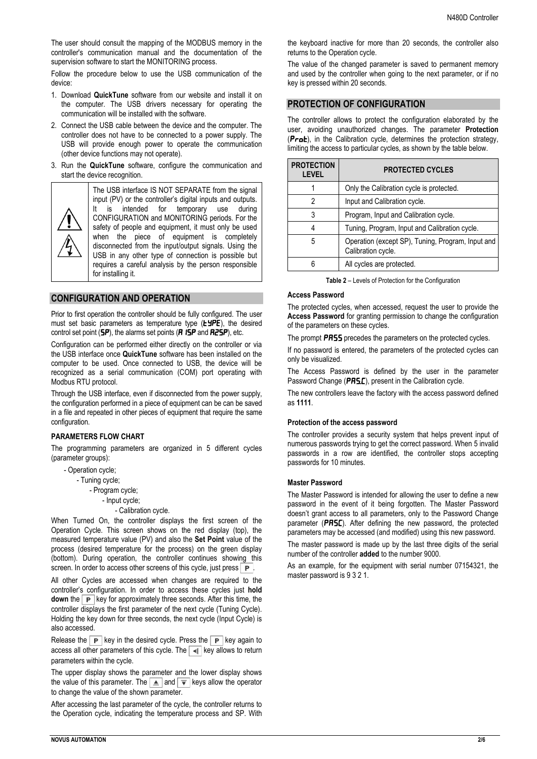The user should consult the mapping of the MODBUS memory in the controller's communication manual and the documentation of the supervision software to start the MONITORING process.

Follow the procedure below to use the USB communication of the device:

- 1. Download **QuickTune** software from our website and install it on the computer. The USB drivers necessary for operating the communication will be installed with the software.
- 2. Connect the USB cable between the device and the computer. The controller does not have to be connected to a power supply. The USB will provide enough power to operate the communication (other device functions may not operate).
- 3. Run the **QuickTune** software, configure the communication and start the device recognition.



The USB interface IS NOT SEPARATE from the signal input (PV) or the controller's digital inputs and outputs. It is intended for temporary use during CONFIGURATION and MONITORING periods. For the safety of people and equipment, it must only be used when the piece of equipment is completely disconnected from the input/output signals. Using the USB in any other type of connection is possible but requires a careful analysis by the person responsible for installing it.

# **CONFIGURATION AND OPERATION**

Prior to first operation the controller should be fully configured. The user must set basic parameters as temperature type  $(E\blacktriangleright P\blacktriangleright E)$ , the desired control set point ( $5P$ ), the alarms set points ( $\overline{A}$  1SP and  $\overline{R}$ 2SP), etc.

Configuration can be performed either directly on the controller or via the USB interface once **QuickTune** software has been installed on the computer to be used. Once connected to USB, the device will be recognized as a serial communication (COM) port operating with Modbus RTU protocol.

Through the USB interface, even if disconnected from the power supply, the configuration performed in a piece of equipment can be can be saved in a file and repeated in other pieces of equipment that require the same configuration.

## **PARAMETERS FLOW CHART**

The programming parameters are organized in 5 different cycles (parameter groups):

- Operation cycle;
	- Tuning cycle;
		- Program cycle;
		- Input cycle;
			- Calibration cycle.

When Turned On, the controller displays the first screen of the Operation Cycle. This screen shows on the red display (top), the measured temperature value (PV) and also the **Set Point** value of the process (desired temperature for the process) on the green display (bottom). During operation, the controller continues showing this screen. In order to access other screens of this cycle, just press  $\boxed{\mathbf{P}}$ .

All other Cycles are accessed when changes are required to the controller's configuration. In order to access these cycles just **hold down** the  $\boxed{\mathbf{P}}$  key for approximately three seconds. After this time, the controller displays the first parameter of the next cycle (Tuning Cycle). Holding the key down for three seconds, the next cycle (Input Cycle) is also accessed.

Release the  $\boxed{\mathbf{P}}$  key in the desired cycle. Press the  $\boxed{\mathbf{P}}$  key again to access all other parameters of this cycle. The  $\overline{|\cdot\cdot\cdot|}$  key allows to return parameters within the cycle.

The upper display shows the parameter and the lower display shows the value of this parameter. The  $\boxed{\triangle}$  and  $\boxed{\overline{\overline{\overline{}}}}$  keys allow the operator to change the value of the shown parameter.

After accessing the last parameter of the cycle, the controller returns to the Operation cycle, indicating the temperature process and SP. With

the keyboard inactive for more than 20 seconds, the controller also returns to the Operation cycle.

The value of the changed parameter is saved to permanent memory and used by the controller when going to the next parameter, or if no key is pressed within 20 seconds.

## **PROTECTION OF CONFIGURATION**

The controller allows to protect the configuration elaborated by the user, avoiding unauthorized changes. The parameter **Protection**  $(Prab)$ , in the Calibration cycle, determines the protection strategy, limiting the access to particular cycles, as shown by the table below.

| <b>PROTECTION</b><br><b>LEVEL</b> | <b>PROTECTED CYCLES</b>                                                 |
|-----------------------------------|-------------------------------------------------------------------------|
|                                   | Only the Calibration cycle is protected.                                |
| 2                                 | Input and Calibration cycle.                                            |
| 3                                 | Program, Input and Calibration cycle.                                   |
|                                   | Tuning, Program, Input and Calibration cycle.                           |
| 5                                 | Operation (except SP), Tuning, Program, Input and<br>Calibration cycle. |
|                                   | All cycles are protected.                                               |

**Table 2** – Levels of Protection for the Configuration

## **Access Password**

The protected cycles, when accessed, request the user to provide the **Access Password** for granting permission to change the configuration of the parameters on these cycles.

The prompt **PR55** precedes the parameters on the protected cycles.

If no password is entered, the parameters of the protected cycles can only be visualized.

The Access Password is defined by the user in the parameter Password Change (PRS.E), present in the Calibration cycle.

The new controllers leave the factory with the access password defined as **1111**.

#### **Protection of the access password**

The controller provides a security system that helps prevent input of numerous passwords trying to get the correct password. When 5 invalid passwords in a row are identified, the controller stops accepting passwords for 10 minutes.

#### **Master Password**

The Master Password is intended for allowing the user to define a new password in the event of it being forgotten. The Master Password doesn't grant access to all parameters, only to the Password Change parameter (PR5C). After defining the new password, the protected parameters may be accessed (and modified) using this new password.

The master password is made up by the last three digits of the serial number of the controller **added** to the number 9000.

As an example, for the equipment with serial number 07154321, the master password is 9 3 2 1.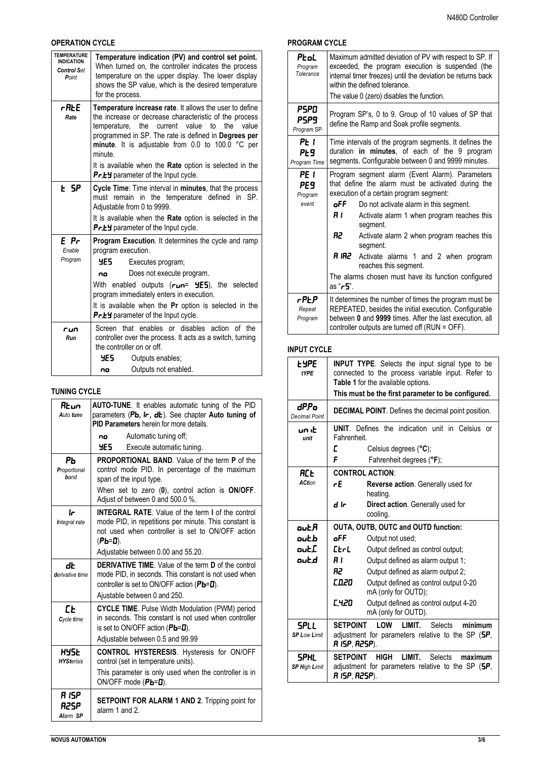# **OPERATION CYCLE**

| <b>TEMPERATURE</b><br><b>INDICATION</b><br><b>Control Set</b><br>Point | Temperature indication (PV) and control set point.<br>When turned on, the controller indicates the process<br>temperature on the upper display. The lower display<br>shows the SP value, which is the desired temperature<br>for the process.                                                                                                                                                              |  |  |
|------------------------------------------------------------------------|------------------------------------------------------------------------------------------------------------------------------------------------------------------------------------------------------------------------------------------------------------------------------------------------------------------------------------------------------------------------------------------------------------|--|--|
| rAŁE<br>Rate                                                           | Temperature increase rate. It allows the user to define<br>the increase or decrease characteristic of the process<br>to<br>value<br>temperature, the current value<br>the<br>programmed in SP. The rate is defined in Degrees per<br>minute. It is adjustable from 0.0 to 100.0 °C per<br>minute.<br>It is available when the Rate option is selected in the<br><b>Pr.EY</b> parameter of the Input cycle. |  |  |
| F SP                                                                   | Cycle Time: Time interval in minutes, that the process<br>must remain in the temperature defined in SP.<br>Adjustable from 0 to 9999.<br>It is available when the Rate option is selected in the<br><b>Pr.EY</b> parameter of the Input cycle.                                                                                                                                                             |  |  |
| E Pr<br>Enable<br>Program                                              | Program Execution. It determines the cycle and ramp<br>program execution.<br>4ES -<br>Executes program;<br>Does not execute program.<br>no<br>With enabled outputs $(run= 4E5)$ , the selected<br>program immediately enters in execution.<br>It is available when the Pr option is selected in the<br>Pr.EY parameter of the Input cycle.                                                                 |  |  |
| run<br>Run                                                             | Screen that enables or disables action of the<br>controller over the process. It acts as a switch, turning<br>the controller on or off.<br>YE 5.<br>Outputs enables;<br>Outputs not enabled.<br>no                                                                                                                                                                                                         |  |  |

# **TUNING CYCLE**

| 8.un<br>Auto tune          | AUTO-TUNE. It enables automatic tuning of the PID<br>parameters (Pb, Ir, db). See chapter Auto tuning of<br>PID Parameters herein for more details.                                                                             |
|----------------------------|---------------------------------------------------------------------------------------------------------------------------------------------------------------------------------------------------------------------------------|
|                            | Automatic tuning off;<br>no                                                                                                                                                                                                     |
|                            | YES –<br>Execute automatic tuning.                                                                                                                                                                                              |
| ΡЬ<br>Proportional<br>hand | <b>PROPORTIONAL BAND.</b> Value of the term <b>P</b> of the<br>control mode PID. In percentage of the maximum<br>span of the input type.<br>When set to zero (0), control action is ON/OFF.<br>Adjust of between 0 and 500.0 %. |
| Ir<br>Integral rate        | <b>INTEGRAL RATE.</b> Value of the term I of the control<br>mode PID, in repetitions per minute. This constant is<br>not used when controller is set to ON/OFF action<br>(РЬ=0).                                                |
|                            | Adjustable between 0.00 and 55.20.                                                                                                                                                                                              |
|                            |                                                                                                                                                                                                                                 |
| dŁ<br>derivative time      | <b>DERIVATIVE TIME.</b> Value of the term <b>D</b> of the control<br>mode PID, in seconds. This constant is not used when<br>controller is set to ON/OFF action ( $Pb=0$ ).<br>Ajustable between 0 and 250.                     |
| ЕE<br>Cycle time           | <b>CYCLE TIME.</b> Pulse Width Modulation (PWM) period<br>in seconds. This constant is not used when controller<br>is set to ON/OFF action $(PL=0)$ .<br>Adjustable between 0.5 and 99.99                                       |
| HYSE<br><b>HYSterisis</b>  | <b>CONTROL HYSTERESIS.</b> Hysteresis for ON/OFF<br>control (set in temperature units).<br>This parameter is only used when the controller is in<br>ON/OFF mode $(Ph=0)$ .                                                      |

## **PROGRAM CYCLE**

| Ptol<br>Program<br>Tolerance     | Maximum admitted deviation of PV with respect to SP. If<br>exceeded, the program execution is suspended (the<br>internal timer freezes) until the deviation be returns back<br>within the defined tolerance.<br>The value 0 (zero) disables the function. |                                                                                                                                                                                                                                                                                                                                                                                                                                        |  |
|----------------------------------|-----------------------------------------------------------------------------------------------------------------------------------------------------------------------------------------------------------------------------------------------------------|----------------------------------------------------------------------------------------------------------------------------------------------------------------------------------------------------------------------------------------------------------------------------------------------------------------------------------------------------------------------------------------------------------------------------------------|--|
| PSPO<br>PSP9<br>Program SP       | Program SP's, 0 to 9. Group of 10 values of SP that<br>define the Ramp and Soak profile segments.                                                                                                                                                         |                                                                                                                                                                                                                                                                                                                                                                                                                                        |  |
| PE I<br>PE9<br>Program Time      | Time intervals of the program segments. It defines the<br>duration in minutes, of each of the 9 program<br>segments. Configurable between 0 and 9999 minutes.                                                                                             |                                                                                                                                                                                                                                                                                                                                                                                                                                        |  |
| PE 1<br>PE 9<br>Program<br>event | oFF<br>R I<br>R2 I<br>R IRZ<br>as " <b>r5</b> ".                                                                                                                                                                                                          | Program segment alarm (Event Alarm). Parameters<br>that define the alarm must be activated during the<br>execution of a certain program segment:<br>Do not activate alarm in this segment.<br>Activate alarm 1 when program reaches this<br>segment.<br>Activate alarm 2 when program reaches this<br>segment.<br>Activate alarms 1 and 2 when program<br>reaches this segment.<br>The alarms chosen must have its function configured |  |
| r PE.P<br>Repeat<br>Program      | It determines the number of times the program must be<br>REPEATED, besides the initial execution. Configurable<br>between 0 and 9999 times. After the last execution, all<br>controller outputs are turned off (RUN = OFF).                               |                                                                                                                                                                                                                                                                                                                                                                                                                                        |  |

## **INPUT CYCLE**

| <b>LYPE</b><br><b>fYPE</b>   |                                                                                 | <b>INPUT TYPE.</b> Selects the input signal type to be<br>connected to the process variable input. Refer to<br>Table 1 for the available options.<br>This must be the first parameter to be configured. |
|------------------------------|---------------------------------------------------------------------------------|---------------------------------------------------------------------------------------------------------------------------------------------------------------------------------------------------------|
| dPPo<br><b>Decimal Point</b> | <b>DECIMAL POINT.</b> Defines the decimal point position.                       |                                                                                                                                                                                                         |
| un ib<br>unit                | <b>UNIT.</b> Defines the indication unit in Celsius or<br>Fahrenheit.           |                                                                                                                                                                                                         |
|                              | Е                                                                               | Celsius degrees $(^{\circ}C)$ ;                                                                                                                                                                         |
|                              | F                                                                               | Fahrenheit degrees (°F);                                                                                                                                                                                |
| RCE                          |                                                                                 | <b>CONTROL ACTION:</b>                                                                                                                                                                                  |
| <b>ACtion</b>                | гE<br><b>Reverse action.</b> Generally used for                                 |                                                                                                                                                                                                         |
|                              |                                                                                 | heating.                                                                                                                                                                                                |
|                              | d Ir                                                                            | Direct action. Generally used for                                                                                                                                                                       |
|                              |                                                                                 | cooling.                                                                                                                                                                                                |
| out R                        | <b>OUTA, OUTB, OUTC and OUTD function:</b>                                      |                                                                                                                                                                                                         |
| outb                         | oFF<br>Output not used:                                                         |                                                                                                                                                                                                         |
| out[                         | $E$ r $L$                                                                       | Output defined as control output;                                                                                                                                                                       |
| outd                         | R I                                                                             | Output defined as alarm output 1;                                                                                                                                                                       |
|                              | R2                                                                              | Output defined as alarm output 2;                                                                                                                                                                       |
|                              | C.020 I                                                                         | Output defined as control output 0-20<br>mA (only for OUTD);                                                                                                                                            |
|                              | <b>C.420</b>                                                                    | Output defined as control output 4-20<br>mA (only for OUTD).                                                                                                                                            |
| SPL L                        | <b>SETPOINT</b>                                                                 | <b>I</b> OW<br>LIMIT.<br>minimum<br><b>Selects</b>                                                                                                                                                      |
| <b>SP Low Limit</b>          | adjustment for parameters relative to the SP $(5P, 1P)$<br><b>R ISP, R2SP).</b> |                                                                                                                                                                                                         |
| <b>SPHL</b>                  | <b>SFTPOINT</b><br>HIGH LIMIT.<br><b>Selects</b><br>maximum                     |                                                                                                                                                                                                         |
| <b>SP High Limit</b>         | adjustment for parameters relative to the SP (SP,<br>R 15P, R25P).              |                                                                                                                                                                                                         |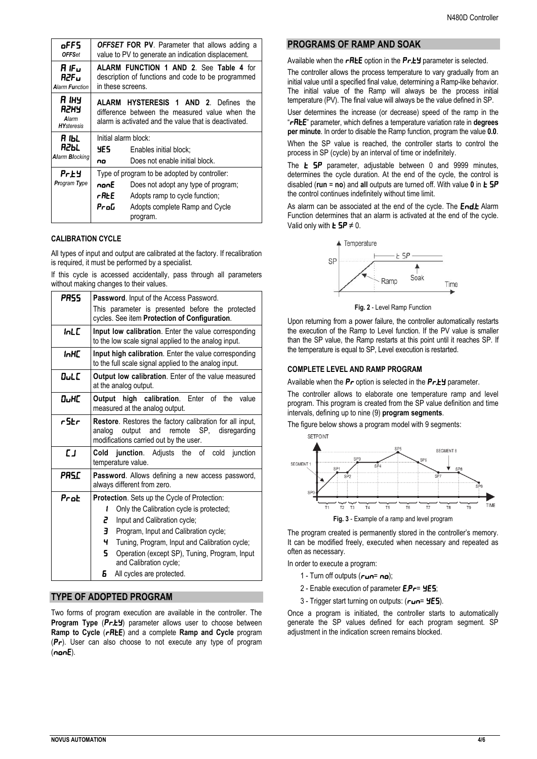| oFF5                                  | <b>OFFSET FOR PV.</b> Parameter that allows adding a                                                                                                                                        |                                                          |
|---------------------------------------|---------------------------------------------------------------------------------------------------------------------------------------------------------------------------------------------|----------------------------------------------------------|
| <b>OFFSet</b>                         | value to PV to generate an indication displacement.                                                                                                                                         |                                                          |
| R IFu                                 | <b>ALARM FUNCTION 1 AND 2. See Table 4 for</b>                                                                                                                                              |                                                          |
| R2Fu                                  | description of functions and code to be programmed                                                                                                                                          |                                                          |
| <b>Alarm Function</b>                 | in these screens.                                                                                                                                                                           |                                                          |
| я інч                                 | <b>ALARM HYSTERESIS 1 AND 2. Defines</b>                                                                                                                                                    |                                                          |
| R2HY                                  | the                                                                                                                                                                                         |                                                          |
| Alarm                                 | difference between the measured value when the                                                                                                                                              |                                                          |
| <b>HY</b> steresis                    | alarm is activated and the value that is deactivated.                                                                                                                                       |                                                          |
| я њі<br>R2Ы.<br><b>Alarm Blocking</b> | Initial alarm block:<br>YES .<br>no                                                                                                                                                         | Enables initial block;<br>Does not enable initial block. |
| Prey<br><b>Program Type</b>           | Type of program to be adopted by controller:<br>nonE<br>Does not adopt any type of program;<br>rALE<br>Adopts ramp to cycle function;<br>ProG<br>Adopts complete Ramp and Cycle<br>program. |                                                          |

#### **CALIBRATION CYCLE**

All types of input and output are calibrated at the factory. If recalibration is required, it must be performed by a specialist.

If this cycle is accessed accidentally, pass through all parameters without making changes to their values.

| PRSS      | Password. Input of the Access Password.                                                                                                                                                                                                                                                                                        |  |  |
|-----------|--------------------------------------------------------------------------------------------------------------------------------------------------------------------------------------------------------------------------------------------------------------------------------------------------------------------------------|--|--|
|           | This parameter is presented before the protected<br>cycles. See item Protection of Configuration.                                                                                                                                                                                                                              |  |  |
| InLE      | Input low calibration. Enter the value corresponding<br>to the low scale signal applied to the analog input.                                                                                                                                                                                                                   |  |  |
| inHC      | Input high calibration. Enter the value corresponding<br>to the full scale signal applied to the analog input.                                                                                                                                                                                                                 |  |  |
| OuLC      | <b>Output low calibration.</b> Enter of the value measured<br>at the analog output.                                                                                                                                                                                                                                            |  |  |
| 0.HC      | <b>Output high calibration.</b> Enter of the value<br>measured at the analog output.                                                                                                                                                                                                                                           |  |  |
| r5Er      | Restore. Restores the factory calibration for all input,<br>output<br>and<br>remote<br>SP,<br>disregarding<br>analog<br>modifications carried out by the user.                                                                                                                                                                 |  |  |
| <b>LJ</b> | <b>Cold junction.</b> Adjusts the of cold junction<br>temperature value.                                                                                                                                                                                                                                                       |  |  |
| PRSC      | Password. Allows defining a new access password,<br>always different from zero.                                                                                                                                                                                                                                                |  |  |
| Prot      | <b>Protection.</b> Sets up the Cycle of Protection:<br>Only the Calibration cycle is protected;<br>1<br>2<br>Input and Calibration cycle;<br>Е<br>Program, Input and Calibration cycle;<br>ч<br>Tuning, Program, Input and Calibration cycle;<br>5.<br>Operation (except SP), Tuning, Program, Input<br>and Calibration cycle; |  |  |
|           | 6.<br>All cycles are protected.                                                                                                                                                                                                                                                                                                |  |  |

# **TYPE OF ADOPTED PROGRAM**

Two forms of program execution are available in the controller. The **Program Type** (Pr.EY) parameter allows user to choose between **Ramp to Cycle (rREE)** and a complete **Ramp and Cycle** program  $(Pr)$ . User can also choose to not execute any type of program  $(nonE)$ .

# **PROGRAMS OF RAMP AND SOAK**

Available when the  $r$ REE option in the Pr.EY parameter is selected.

The controller allows the process temperature to vary gradually from an initial value until a specified final value, determining a Ramp-like behavior. The initial value of the Ramp will always be the process initial temperature (PV). The final value will always be the value defined in SP.

User determines the increase (or decrease) speed of the ramp in the "rAtE" parameter, which defines a temperature variation rate in **degrees per minute**. In order to disable the Ramp function, program the value **0.0**.

When the SP value is reached, the controller starts to control the process in SP (cycle) by an interval of time or indefinitely.

The  $E$   $SP$  parameter, adjustable between 0 and 9999 minutes, determines the cycle duration. At the end of the cycle, the control is disabled (run = no) and all outputs are turned off. With value 0 in **E 5P** the control continues indefinitely without time limit.

As alarm can be associated at the end of the cycle. The End.t Alarm Function determines that an alarm is activated at the end of the cycle. Valid only with  $\mathbf{E}$  **SP**  $\neq$  0.



**Fig. 2** - Level Ramp Function

Upon returning from a power failure, the controller automatically restarts the execution of the Ramp to Level function. If the PV value is smaller than the SP value, the Ramp restarts at this point until it reaches SP. If the temperature is equal to SP, Level execution is restarted.

#### **COMPLETE LEVEL AND RAMP PROGRAM**

Available when the  $Pr$  option is selected in the  $Pr.EY$  parameter.

The controller allows to elaborate one temperature ramp and level program. This program is created from the SP value definition and time intervals, defining up to nine (9) **program segments**.

The figure below shows a program model with 9 segments:



The program created is permanently stored in the controller's memory. It can be modified freely, executed when necessary and repeated as often as necessary.

In order to execute a program:

- 1 Turn off outputs  $(run=na)$ ;
- 2 Enable execution of parameter  $E.P 4E5$ ;
- 3 Trigger start turning on outputs:  $(r_{\text{min}} = 4E5)$ .

Once a program is initiated, the controller starts to automatically generate the SP values defined for each program segment. SP adjustment in the indication screen remains blocked.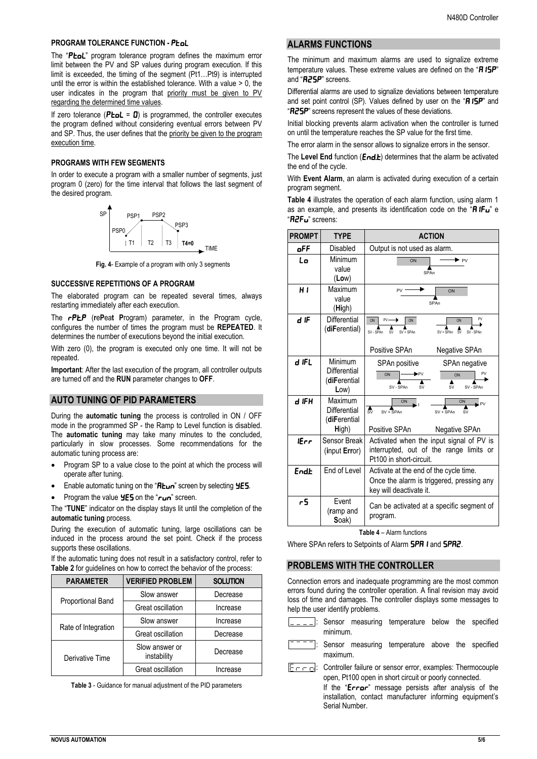#### **PROGRAM TOLERANCE FUNCTION - PLoL**

The "PtoL" program tolerance program defines the maximum error limit between the PV and SP values during program execution. If this limit is exceeded, the timing of the segment (Pt1…Pt9) is interrupted until the error is within the established tolerance. With a value > 0, the user indicates in the program that priority must be given to PV regarding the determined time values.

If zero tolerance ( $P$ **LoL** =  $\bf{0}$ ) is programmed, the controller executes the program defined without considering eventual errors between PV and SP. Thus, the user defines that the priority be given to the program execution time.

### **PROGRAMS WITH FEW SEGMENTS**

In order to execute a program with a smaller number of segments, just program 0 (zero) for the time interval that follows the last segment of the desired program.



**Fig. 4**- Example of a program with only 3 segments

#### **SUCCESSIVE REPETITIONS OF A PROGRAM**

The elaborated program can be repeated several times, always restarting immediately after each execution.

The **rPLP** (rePeat Program) parameter, in the Program cycle, configures the number of times the program must be **REPEATED**. It determines the number of executions beyond the initial execution.

With zero (0), the program is executed only one time. It will not be repeated.

**Important**: After the last execution of the program, all controller outputs are turned off and the **RUN** parameter changes to **OFF**.

## **AUTO TUNING OF PID PARAMETERS**

During the **automatic tuning** the process is controlled in ON / OFF mode in the programmed SP - the Ramp to Level function is disabled. The **automatic tuning** may take many minutes to the concluded, particularly in slow processes. Some recommendations for the automatic tuning process are:

- Program SP to a value close to the point at which the process will operate after tuning.
- Enable automatic tuning on the " $R$ <sub>Lun</sub>" screen by selecting  $4E$
- Program the value  $4E5$  on the " $ru$ <sup>"</sup> screen.

The "**TUNE**" indicator on the display stays lit until the completion of the **automatic tuning** process.

During the execution of automatic tuning, large oscillations can be induced in the process around the set point. Check if the process supports these oscillations.

If the automatic tuning does not result in a satisfactory control, refer to **Table 2** for guidelines on how to correct the behavior of the process:

| <b>PARAMETER</b>    | <b>VERIFIED PROBLEM</b>       | <b>SOLUTION</b> |
|---------------------|-------------------------------|-----------------|
| Proportional Band   | Slow answer                   | Decrease        |
|                     | Great oscillation             | Increase        |
| Rate of Integration | Slow answer                   | Increase        |
|                     | Great oscillation             | Decrease        |
| Derivative Time     | Slow answer or<br>instability | Decrease        |
|                     | Great oscillation             | Increase        |

**Table 3** - Guidance for manual adjustment of the PID parameters

# **ALARMS FUNCTIONS**

The minimum and maximum alarms are used to signalize extreme temperature values. These extreme values are defined on the "RISP" and "**R25P**" screens.

Differential alarms are used to signalize deviations between temperature and set point control (SP). Values defined by user on the "RISP" and "R25P" screens represent the values of these deviations.

Initial blocking prevents alarm activation when the controller is turned on until the temperature reaches the SP value for the first time.

The error alarm in the sensor allows to signalize errors in the sensor.

The Level End function (End.t) determines that the alarm be activated the end of the cycle.

With **Event Alarm**, an alarm is activated during execution of a certain program segment.

**Table 4** illustrates the operation of each alarm function, using alarm 1 as an example, and presents its identification code on the " $\mathbf{H} \mathbf{I} \mathbf{F} \mathbf{u}$ " e "A2Fv" screens:

| <b>PROMPT</b> | <b>TYPE</b>                                      | <b>ACTION</b>                                                                                                     |
|---------------|--------------------------------------------------|-------------------------------------------------------------------------------------------------------------------|
| oFF           | Disabled                                         | Output is not used as alarm.                                                                                      |
| Lo            | Minimum<br>value<br>(Low)                        | ▶ <sub>PV</sub><br>ON<br>SPAn                                                                                     |
| H I           | Maximum<br>value<br>(High)                       | PV<br>ON<br>SPAn                                                                                                  |
| d IF          | Differential<br>(diFerential)                    | PV<br>ON<br>$PV -$<br>ON<br>ON<br>$SV + SPAn$<br>$\overline{\rm sv}$<br>SV - SPAn<br>SV + SPAn<br>SV - SPAn<br>SV |
|               |                                                  | Positive SPAn<br>Negative SPAn                                                                                    |
| d IFL         | Minimum<br>Differential<br>(diFerential<br>Low)  | SPAn positive<br>SPAn negative<br>PV<br><b>PV</b><br>ON<br>ON<br>SV - SPAn<br><b>SV</b><br>SV - SPAn<br>SV.       |
| d IFH         | Maximum<br>Differential<br>(diFerential<br>High) | ON<br>ON<br>PV.<br>Å,<br>SV + SPAn<br>SV + SPAn<br><b>SV</b><br>Positive SPAn<br>Negative SPAn                    |
| iErr          | Sensor Break<br>(input Error)                    | Activated when the input signal of PV is<br>interrupted, out of the range limits or<br>Pt100 in short-circuit.    |
| Endb          | End of Level                                     | Activate at the end of the cycle time.<br>Once the alarm is triggered, pressing any<br>key will deactivate it.    |
| r5            | Fvent<br>(ramp and<br>Soak)                      | Can be activated at a specific segment of<br>program.                                                             |

**Table 4** – Alarm functions

Where SPAn refers to Setpoints of Alarm **SPR 1** and **SPR2**.

## **PROBLEMS WITH THE CONTROLLER**

Serial Number.

Connection errors and inadequate programming are the most common errors found during the controller operation. A final revision may avoid loss of time and damages. The controller displays some messages to help the user identify problems.

- Sensor measuring temperature below the specified minimum.
- Sensor measuring temperature above the specified maximum.
- $\boxed{F -}$ : Controller failure or sensor error, examples: Thermocouple open, Pt100 open in short circuit or poorly connected. If the "Error" message persists after analysis of the installation, contact manufacturer informing equipment's